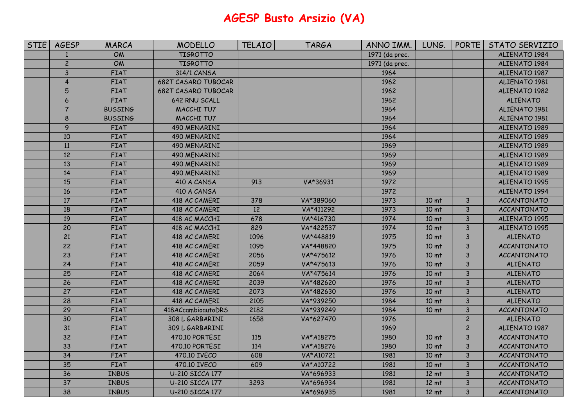## **AGESP Busto Arsizio (VA)**

| <b>STIE</b> | <b>AGESP</b>   | MARCA          | <b>MODELLO</b>             | <b>TELAIO</b> | <b>TARGA</b> | ANNO IMM.      | LUNG.            | <b>PORTE</b>   | STATO SERVIZIO       |
|-------------|----------------|----------------|----------------------------|---------------|--------------|----------------|------------------|----------------|----------------------|
|             | $\mathbf{1}$   | <b>OM</b>      | <b>TIGROTTO</b>            |               |              | 1971 (da prec. |                  |                | ALIENATO 1984        |
|             | $\overline{2}$ | OM             | <b>TIGROTTO</b>            |               |              | 1971 (da prec. |                  |                | ALIENATO 1984        |
|             | 3              | FIAT           | 314/1 CANSA                |               |              | 1964           |                  |                | ALIENATO 1987        |
|             | $\overline{4}$ | <b>FIAT</b>    | <b>682T CASARO TUBOCAR</b> |               |              | 1962           |                  |                | ALIENATO 1981        |
|             | 5              | <b>FIAT</b>    | <b>682T CASARO TUBOCAR</b> |               |              | 1962           |                  |                | ALIENATO 1982        |
|             | 6              | <b>FIAT</b>    | 642 RNU SCALL              |               |              | 1962           |                  |                | <b>ALIENATO</b>      |
|             | $\overline{7}$ | <b>BUSSING</b> | MACCHI TU7                 |               |              | 1964           |                  |                | ALIENATO 1981        |
|             | 8              | <b>BUSSING</b> | MACCHI TU7                 |               |              | 1964           |                  |                | <b>ALIENATO 1981</b> |
|             | $\overline{9}$ | <b>FIAT</b>    | 490 MENARINI               |               |              | 1964           |                  |                | ALIENATO 1989        |
|             | 10             | <b>FIAT</b>    | 490 MENARINI               |               |              | 1964           |                  |                | ALIENATO 1989        |
|             | $11\,$         | <b>FIAT</b>    | 490 MENARINI               |               |              | 1969           |                  |                | ALIENATO 1989        |
|             | 12             | FIAT           | 490 MENARINI               |               |              | 1969           |                  |                | ALIENATO 1989        |
|             | 13             | <b>FIAT</b>    | 490 MENARINI               |               |              | 1969           |                  |                | ALIENATO 1989        |
|             | 14             | <b>FIAT</b>    | 490 MENARINI               |               |              | 1969           |                  |                | ALIENATO 1989        |
|             | 15             | <b>FIAT</b>    | 410 A CANSA                | 913           | VA*36931     | 1972           |                  |                | ALIENATO 1995        |
|             | 16             | <b>FIAT</b>    | 410 A CANSA                |               |              | 1972           |                  |                | ALIENATO 1994        |
|             | 17             | <b>FIAT</b>    | 418 AC CAMERI              | 378           | VA*389060    | 1973           | 10 <sub>mt</sub> | $\mathsf{3}$   | <b>ACCANTONATO</b>   |
|             | 18             | <b>FIAT</b>    | 418 AC CAMERI              | 12            | VA*411292    | 1973           | 10 <sub>mt</sub> | 3              | <b>ACCANTONATO</b>   |
|             | 19             | <b>FIAT</b>    | 418 AC MACCHI              | 678           | VA*416730    | 1974           | 10 <sub>mt</sub> | $\mathsf{3}$   | ALIENATO 1995        |
|             | 20             | <b>FIAT</b>    | 418 AC MACCHI              | 829           | VA*422537    | 1974           | 10 <sub>mt</sub> | $\mathsf{3}$   | ALIENATO 1995        |
|             | 21             | FIAT           | 418 AC CAMERI              | 1096          | VA*448819    | 1975           | 10 <sub>mt</sub> | $\mathsf{3}$   | <b>ALIENATO</b>      |
|             | 22             | <b>FIAT</b>    | 418 AC CAMERI              | 1095          | VA*448820    | 1975           | 10 <sub>mt</sub> | $\mathsf{3}$   | <b>ACCANTONATO</b>   |
|             | 23             | FIAT           | 418 AC CAMERI              | 2056          | VA*475612    | 1976           | 10 <sub>mt</sub> | $\overline{3}$ | <b>ACCANTONATO</b>   |
|             | 24             | <b>FIAT</b>    | 418 AC CAMERI              | 2059          | VA*475613    | 1976           | 10 <sub>mt</sub> | $\mathsf{3}$   | <b>ALIENATO</b>      |
|             | 25             | <b>FIAT</b>    | 418 AC CAMERI              | 2064          | VA*475614    | 1976           | 10 <sub>mt</sub> | $\mathsf{3}$   | <b>ALIENATO</b>      |
|             | 26             | <b>FIAT</b>    | 418 AC CAMERI              | 2039          | VA*482620    | 1976           | 10 <sub>mt</sub> | $\overline{3}$ | <b>ALIENATO</b>      |
|             | 27             | <b>FIAT</b>    | 418 AC CAMERI              | 2073          | VA*482630    | 1976           | 10 <sub>mt</sub> | 3              | <b>ALIENATO</b>      |
|             | 28             | <b>FIAT</b>    | 418 AC CAMERI              | 2105          | VA*939250    | 1984           | 10 <sub>mt</sub> | $\overline{3}$ | <b>ALIENATO</b>      |
|             | 29             | <b>FIAT</b>    | 418ACcambioautoDRS         | 2182          | VA*939249    | 1984           | 10 <sub>mt</sub> | 3              | <b>ACCANTONATO</b>   |
|             | 30             | <b>FIAT</b>    | 308 L GARBARINI            | 1658          | VA*627470    | 1976           |                  | $\overline{c}$ | <b>ALIENATO</b>      |
|             | 31             | <b>FIAT</b>    | 309 L GARBARINI            |               |              | 1969           |                  | $\overline{c}$ | ALIENATO 1987        |
|             | 32             | <b>FIAT</b>    | 470.10 PORTESI             | 115           | VA*A18275    | 1980           | 10 <sub>mt</sub> | $\mathsf{3}$   | <b>ACCANTONATO</b>   |
|             | 33             | <b>FIAT</b>    | 470.10 PORTESI             | 114           | VA*A18276    | 1980           | 10 <sub>mt</sub> | $\mathsf{3}$   | <b>ACCANTONATO</b>   |
|             | 34             | <b>FIAT</b>    | 470.10 IVECO               | 608           | VA*A10721    | 1981           | 10 <sub>mt</sub> | 3              | <b>ACCANTONATO</b>   |
|             | 35             | <b>FIAT</b>    | 470.10 IVECO               | 609           | VA*A10722    | 1981           | 10 <sub>mt</sub> | 3              | <b>ACCANTONATO</b>   |
|             | 36             | <b>INBUS</b>   | U-210 SICCA 177            |               | VA*696933    | 1981           | 12 <sub>mt</sub> | 3              | <b>ACCANTONATO</b>   |
|             | 37             | <b>INBUS</b>   | <b>U-210 SICCA 177</b>     | 3293          | VA*696934    | 1981           | 12 <sub>mt</sub> | $\overline{3}$ | <b>ACCANTONATO</b>   |
|             | 38             | <b>INBUS</b>   | U-210 SICCA 177            |               | VA*696935    | 1981           | 12 <sub>mt</sub> | 3              | <b>ACCANTONATO</b>   |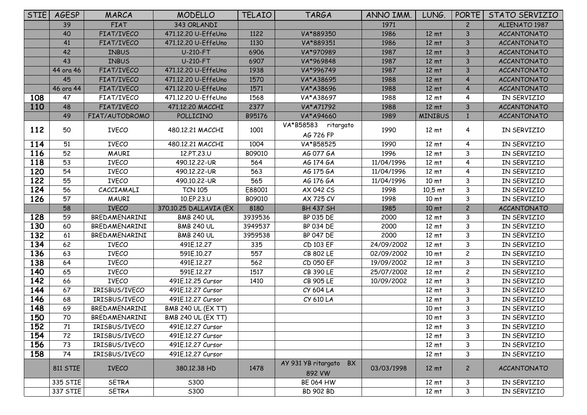| <b>STIE</b> | <b>AGESP</b>         | MARCA                        | <b>MODELLO</b>            | TELAIO  | <b>TARGA</b>                         | ANNO IMM.  | LUNG.                               | <b>PORTE</b>            | STATO SERVIZIO             |
|-------------|----------------------|------------------------------|---------------------------|---------|--------------------------------------|------------|-------------------------------------|-------------------------|----------------------------|
|             | 39                   | <b>FIAT</b>                  | 343 ORLANDI               |         |                                      | 1971       |                                     | $\mathbf{2}$            | ALIENATO 1987              |
|             | 40                   | FIAT/IVECO                   | 471.12.20 U-EffeUno       | 1122    | VA*889350                            | 1986       | 12 <sub>mt</sub>                    | 3                       | <b>ACCANTONATO</b>         |
|             | 41                   | FIAT/IVECO                   | 471.12.20 U-EffeUno       | 1130    | VA*889351                            | 1986       | 12 <sub>mt</sub>                    | 3                       | <b>ACCANTONATO</b>         |
|             | 42                   | <b>INBUS</b>                 | <b>U-210-FT</b>           | 6906    | VA*970989                            | 1987       | 12 <sub>mt</sub>                    | 3                       | <b>ACCANTONATO</b>         |
|             | 43                   | <b>INBUS</b>                 | <b>U-210-FT</b>           | 6907    | VA*969848                            | 1987       | 12 mt                               | 3                       | <b>ACCANTONATO</b>         |
|             | 44 ora 46            | FIAT/IVECO                   | 471.12.20 U-EffeUno       | 1938    | VA*996749                            | 1987       | 12 <sub>mt</sub>                    | 3                       | <b>ACCANTONATO</b>         |
|             | 45                   | FIAT/IVECO                   | 471.12.20 U-EffeUno       | 1570    | VA*A38695                            | 1988       | 12 <sub>mt</sub>                    | 4                       | <b>ACCANTONATO</b>         |
|             | 46 ora 44            | FIAT/IVECO                   | 471.12.20 U-EffeUno       | 1571    | VA*A38696                            | 1988       | 12 <sub>mt</sub>                    | 4                       | <b>ACCANTONATO</b>         |
| 108         | 47                   | FIAT/IVECO                   | 471.12.20 U-EffeUno       | 1568    | VA*A38697                            | 1988       | 12 <sub>mt</sub>                    | 4                       | IN SERVIZIO                |
| 110         | 48                   | FIAT/IVECO                   | 471.12.20 MACCHI          | 2377    | VA*A71792                            | 1988       | 12 <sub>mt</sub>                    | $\mathsf{3}$            | <b>ACCANTONATO</b>         |
|             | 49                   | FIAT/AUTODROMO               | POLLICINO                 | B95176  | VA*A94660                            | 1989       | <b>MINIBUS</b>                      | $\mathbf{1}$            | <b>ACCANTONATO</b>         |
| 112         | 50                   | <b>IVECO</b>                 | 480.12.21 MACCHI          | 1001    | VA*B58583 ritargato<br>AG 726 FP     | 1990       | 12 <sub>mt</sub>                    | 4                       | IN SERVIZIO                |
| 114         | 51                   | IVECO                        | 480.12.21 MACCHI          | 1004    | VA*B58525                            | 1990       | 12 <sub>mt</sub>                    | 4                       | IN SERVIZIO                |
| 116         | 52                   | <b>MAURI</b>                 | 12.PT.23.U                | B09010  | AG 077 GA                            | 1996       | 12 <sub>mt</sub>                    | 3                       | IN SERVIZIO                |
| 118         | 53                   | <b>IVECO</b>                 | 490.12.22-UR              | 564     | AG 174 GA                            | 11/04/1996 | 12 <sub>mt</sub>                    | 4                       | IN SERVIZIO                |
| 120         | 54                   | <b>IVECO</b>                 | 490.12.22-UR              | 563     | AG 175 GA                            | 11/04/1996 | 12 <sub>mt</sub>                    | 4                       | IN SERVIZIO                |
| 122         | 55                   | <b>IVECO</b>                 | 490.10.22-UR              | 565     | AG 176 GA                            | 11/04/1996 | 10 <sub>mt</sub>                    | 3                       | IN SERVIZIO                |
| 124         | 56                   | CACCIAMALI                   | <b>TCN 105</b>            | E88001  | AX 042 CS                            | 1998       | $10,5$ mt                           | 3                       | IN SERVIZIO                |
| 126         | 57                   | <b>MAURI</b>                 | 10.EP.23.U                | B09010  | AX 725 CV                            | 1998       | 10 <sub>mt</sub>                    | 3                       | IN SERVIZIO                |
|             |                      |                              |                           |         |                                      |            |                                     |                         |                            |
|             | 58                   | <b>IVECO</b>                 | 370.10.25 DALLAVIA (EX    | 8180    | <b>BH 437 SH</b>                     | 1985       | 10 <sub>mt</sub>                    | $\overline{c}$          | <b>ACCANTONATO</b>         |
| 128         | 59                   | BREDAMENARINI                | <b>BMB 240 UL</b>         | 3939536 | BP 035 DE                            | 2000       | 12 <sub>mt</sub>                    | 3                       | IN SERVIZIO                |
| 130         | 60                   | BREDAMENARINI                | <b>BMB 240 UL</b>         | 3949537 | <b>BP 034 DE</b>                     | 2000       | $12 \text{ mt}$                     | 3                       | IN SERVIZIO                |
| 132         | 61                   | BREDAMENARINI                | <b>BMB 240 UL</b>         | 3959538 | <b>BP 047 DE</b>                     | 2000       | $12 \text{ mt}$                     | 3                       | IN SERVIZIO                |
| 134         | 62                   | <b>IVECO</b>                 | 491E.12.27                | 335     | CD 103 EF                            | 24/09/2002 | 12 <sub>mt</sub>                    | 3                       | IN SERVIZIO                |
| 136         | 63                   | <b>IVECO</b>                 | 591E.10.27                | 557     | CB 802 LE                            | 02/09/2002 | 10 <sub>mt</sub>                    | $\overline{\mathbf{c}}$ | IN SERVIZIO                |
| 138         | 64                   | <b>IVECO</b>                 | 491E.12.27                | 562     | CD 050 EF                            | 19/09/2002 | 12 <sub>mt</sub>                    | $\mathbf{3}$            | IN SERVIZIO                |
| 140         | 65                   | <b>IVECO</b>                 | 591E.12.27                | 1517    | CB 390 LE                            | 25/07/2002 | 12 <sub>mt</sub>                    | $\overline{\mathbf{c}}$ | IN SERVIZIO                |
| 142         | 66                   | <b>IVECO</b>                 | 491E.12.25 Cursor         | 1410    | CB 905 LE                            | 10/09/2002 | 12 <sub>mt</sub>                    | 3                       | IN SERVIZIO                |
| 144         | 67                   | IRISBUS/IVECO                | 491E.12.27 Cursor         |         | CY 604 LA                            |            | 12 <sub>mt</sub>                    | 3                       | IN SERVIZIO                |
| 146         | 68                   | IRISBUS/IVECO                | 491E.12.27 Cursor         |         | CY 610 LA                            |            | 12 <sub>mt</sub>                    | 3                       | IN SERVIZIO                |
| 148         | 69                   | BREDAMENARINI                | <b>BMB 240 UL (EX TT)</b> |         |                                      |            | 10 <sub>mt</sub>                    | 3                       | IN SERVIZIO                |
| 150         | 70                   | BREDAMENARINI                | <b>BMB 240 UL (EX TT)</b> |         |                                      |            | 10 <sub>mt</sub>                    | 3                       | IN SERVIZIO                |
| 152         | 71                   | IRISBUS/IVECO                | 491E.12.27 Cursor         |         |                                      |            | 12 <sub>mt</sub>                    | 3                       | IN SERVIZIO                |
| 154         | 72                   | IRISBUS/IVECO                | 491E.12.27 Cursor         |         |                                      |            | 12 <sub>mt</sub>                    | 3                       | IN SERVIZIO                |
| 156         | 73                   | IRISBUS/IVECO                | 491E.12.27 Cursor         |         |                                      |            | 12 <sub>mt</sub>                    | 3                       | IN SERVIZIO                |
| 158         | 74                   | IRISBUS/IVECO                | 491E.12.27 Cursor         |         |                                      |            | 12 <sub>mt</sub>                    | 3                       | IN SERVIZIO                |
|             | <b>811 STIE</b>      | <b>IVECO</b>                 | 380.12.38 HD              | 1478    | AY 931 YB ritargato BX<br>892 VW     | 03/03/1998 | 12 <sub>mt</sub>                    | $\mathbf{2}$            | <b>ACCANTONATO</b>         |
|             | 335 STIE<br>337 STIE | <b>SETRA</b><br><b>SETRA</b> | S300<br><b>S300</b>       |         | <b>BE 064 HW</b><br><b>BD 902 BD</b> |            | $12 \text{ mt}$<br>12 <sub>mt</sub> | 3<br>3                  | IN SERVIZIO<br>IN SERVIZIO |